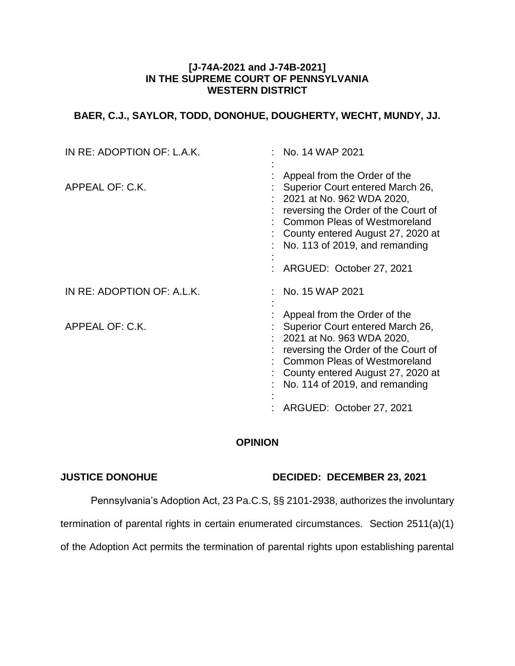## **[J-74A-2021 and J-74B-2021] IN THE SUPREME COURT OF PENNSYLVANIA WESTERN DISTRICT**

# **BAER, C.J., SAYLOR, TODD, DONOHUE, DOUGHERTY, WECHT, MUNDY, JJ.**

| IN RE: ADOPTION OF: L.A.K. | No. 14 WAP 2021                                                                                                                                                                                                                                                                |
|----------------------------|--------------------------------------------------------------------------------------------------------------------------------------------------------------------------------------------------------------------------------------------------------------------------------|
| APPEAL OF: C.K.            | Appeal from the Order of the<br>Superior Court entered March 26,<br>2021 at No. 962 WDA 2020,<br>reversing the Order of the Court of<br><b>Common Pleas of Westmoreland</b><br>County entered August 27, 2020 at<br>No. 113 of 2019, and remanding<br>ARGUED: October 27, 2021 |
| IN RE: ADOPTION OF: A.L.K. | No. 15 WAP 2021                                                                                                                                                                                                                                                                |
| APPEAL OF: C.K.            | Appeal from the Order of the<br>Superior Court entered March 26,<br>2021 at No. 963 WDA 2020,<br>reversing the Order of the Court of<br>Common Pleas of Westmoreland<br>County entered August 27, 2020 at<br>No. 114 of 2019, and remanding                                    |
|                            | ARGUED: October 27, 2021                                                                                                                                                                                                                                                       |

## **OPINION**

## **JUSTICE DONOHUE DECIDED: DECEMBER 23, 2021**

Pennsylvania's Adoption Act, 23 Pa.C.S, §§ 2101-2938, authorizes the involuntary

termination of parental rights in certain enumerated circumstances. Section 2511(a)(1)

of the Adoption Act permits the termination of parental rights upon establishing parental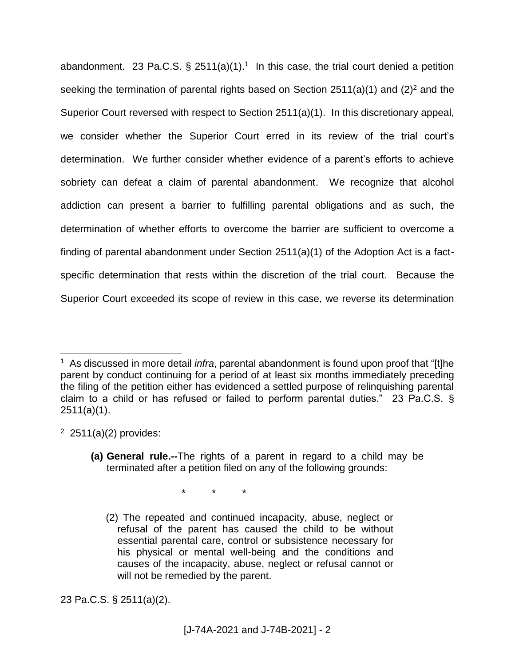abandonment. 23 Pa.C.S.  $\S$  2511(a)(1).<sup>1</sup> In this case, the trial court denied a petition seeking the termination of parental rights based on Section  $2511(a)(1)$  and  $(2)^2$  and the Superior Court reversed with respect to Section 2511(a)(1). In this discretionary appeal, we consider whether the Superior Court erred in its review of the trial court's determination. We further consider whether evidence of a parent's efforts to achieve sobriety can defeat a claim of parental abandonment. We recognize that alcohol addiction can present a barrier to fulfilling parental obligations and as such, the determination of whether efforts to overcome the barrier are sufficient to overcome a finding of parental abandonment under Section 2511(a)(1) of the Adoption Act is a factspecific determination that rests within the discretion of the trial court. Because the Superior Court exceeded its scope of review in this case, we reverse its determination

 $2$  2511(a)(2) provides:

 $\overline{a}$ 

\* \* \*

23 Pa.C.S. § 2511(a)(2).

<sup>1</sup> As discussed in more detail *infra*, parental abandonment is found upon proof that "[t]he parent by conduct continuing for a period of at least six months immediately preceding the filing of the petition either has evidenced a settled purpose of relinquishing parental claim to a child or has refused or failed to perform parental duties." 23 Pa.C.S. § 2511(a)(1).

**<sup>(</sup>a) General rule.--**The rights of a parent in regard to a child may be terminated after a petition filed on any of the following grounds:

<sup>(2)</sup> The repeated and continued incapacity, abuse, neglect or refusal of the parent has caused the child to be without essential parental care, control or subsistence necessary for his physical or mental well-being and the conditions and causes of the incapacity, abuse, neglect or refusal cannot or will not be remedied by the parent.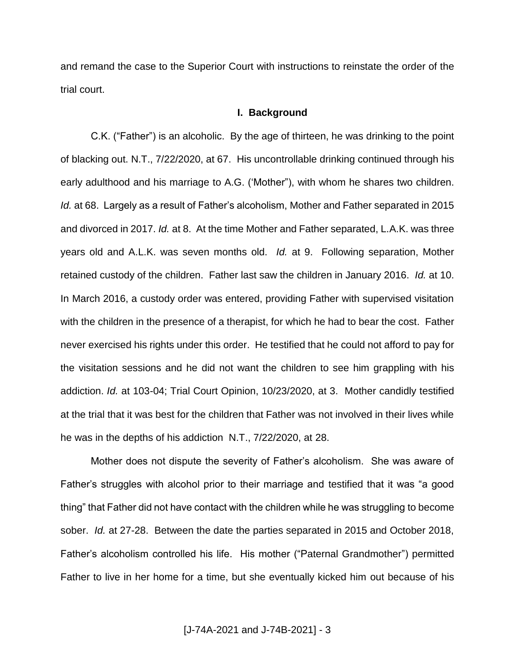and remand the case to the Superior Court with instructions to reinstate the order of the trial court.

### **I. Background**

C.K. ("Father") is an alcoholic. By the age of thirteen, he was drinking to the point of blacking out. N.T., 7/22/2020, at 67. His uncontrollable drinking continued through his early adulthood and his marriage to A.G. ('Mother"), with whom he shares two children. *Id.* at 68. Largely as a result of Father's alcoholism, Mother and Father separated in 2015 and divorced in 2017. *Id.* at 8. At the time Mother and Father separated, L.A.K. was three years old and A.L.K. was seven months old. *Id.* at 9. Following separation, Mother retained custody of the children. Father last saw the children in January 2016. *Id.* at 10. In March 2016, a custody order was entered, providing Father with supervised visitation with the children in the presence of a therapist, for which he had to bear the cost. Father never exercised his rights under this order. He testified that he could not afford to pay for the visitation sessions and he did not want the children to see him grappling with his addiction. *Id.* at 103-04; Trial Court Opinion, 10/23/2020, at 3. Mother candidly testified at the trial that it was best for the children that Father was not involved in their lives while he was in the depths of his addiction N.T., 7/22/2020, at 28.

Mother does not dispute the severity of Father's alcoholism. She was aware of Father's struggles with alcohol prior to their marriage and testified that it was "a good thing" that Father did not have contact with the children while he was struggling to become sober. *Id.* at 27-28. Between the date the parties separated in 2015 and October 2018, Father's alcoholism controlled his life. His mother ("Paternal Grandmother") permitted Father to live in her home for a time, but she eventually kicked him out because of his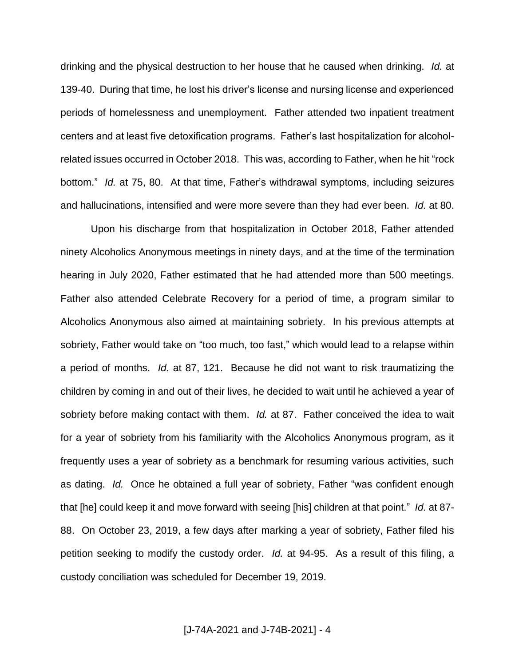drinking and the physical destruction to her house that he caused when drinking. *Id.* at 139-40. During that time, he lost his driver's license and nursing license and experienced periods of homelessness and unemployment. Father attended two inpatient treatment centers and at least five detoxification programs. Father's last hospitalization for alcoholrelated issues occurred in October 2018. This was, according to Father, when he hit "rock bottom." *Id.* at 75, 80. At that time, Father's withdrawal symptoms, including seizures and hallucinations, intensified and were more severe than they had ever been. *Id.* at 80.

Upon his discharge from that hospitalization in October 2018, Father attended ninety Alcoholics Anonymous meetings in ninety days, and at the time of the termination hearing in July 2020, Father estimated that he had attended more than 500 meetings. Father also attended Celebrate Recovery for a period of time, a program similar to Alcoholics Anonymous also aimed at maintaining sobriety. In his previous attempts at sobriety, Father would take on "too much, too fast," which would lead to a relapse within a period of months. *Id.* at 87, 121. Because he did not want to risk traumatizing the children by coming in and out of their lives, he decided to wait until he achieved a year of sobriety before making contact with them. *Id.* at 87. Father conceived the idea to wait for a year of sobriety from his familiarity with the Alcoholics Anonymous program, as it frequently uses a year of sobriety as a benchmark for resuming various activities, such as dating. *Id.* Once he obtained a full year of sobriety, Father "was confident enough that [he] could keep it and move forward with seeing [his] children at that point." *Id.* at 87- 88. On October 23, 2019, a few days after marking a year of sobriety, Father filed his petition seeking to modify the custody order. *Id.* at 94-95. As a result of this filing, a custody conciliation was scheduled for December 19, 2019.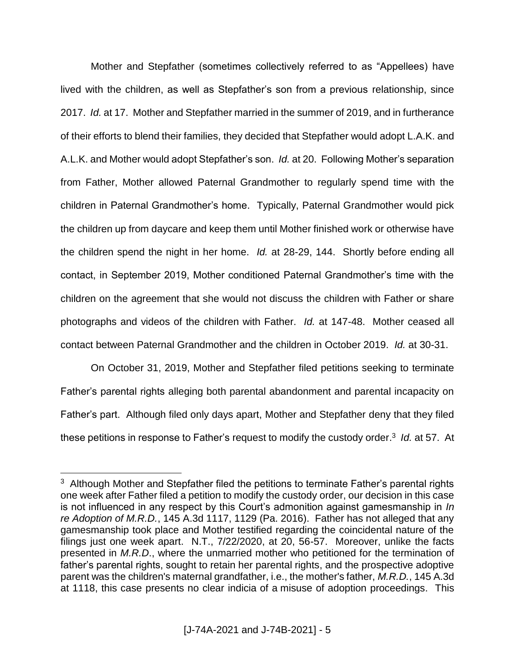Mother and Stepfather (sometimes collectively referred to as "Appellees) have lived with the children, as well as Stepfather's son from a previous relationship, since 2017. *Id.* at 17. Mother and Stepfather married in the summer of 2019, and in furtherance of their efforts to blend their families, they decided that Stepfather would adopt L.A.K. and A.L.K. and Mother would adopt Stepfather's son. *Id.* at 20. Following Mother's separation from Father, Mother allowed Paternal Grandmother to regularly spend time with the children in Paternal Grandmother's home. Typically, Paternal Grandmother would pick the children up from daycare and keep them until Mother finished work or otherwise have the children spend the night in her home. *Id.* at 28-29, 144. Shortly before ending all contact, in September 2019, Mother conditioned Paternal Grandmother's time with the children on the agreement that she would not discuss the children with Father or share photographs and videos of the children with Father. *Id.* at 147-48. Mother ceased all contact between Paternal Grandmother and the children in October 2019. *Id.* at 30-31.

On October 31, 2019, Mother and Stepfather filed petitions seeking to terminate Father's parental rights alleging both parental abandonment and parental incapacity on Father's part. Although filed only days apart, Mother and Stepfather deny that they filed these petitions in response to Father's request to modify the custody order. 3 *Id.* at 57. At

 $3$  Although Mother and Stepfather filed the petitions to terminate Father's parental rights one week after Father filed a petition to modify the custody order, our decision in this case is not influenced in any respect by this Court's admonition against gamesmanship in *In re Adoption of M.R.D.*, 145 A.3d 1117, 1129 (Pa. 2016). Father has not alleged that any gamesmanship took place and Mother testified regarding the coincidental nature of the filings just one week apart. N.T., 7/22/2020, at 20, 56-57. Moreover, unlike the facts presented in *M.R.D*., where the unmarried mother who petitioned for the termination of father's parental rights, sought to retain her parental rights, and the prospective adoptive parent was the children's maternal grandfather, i.e., the mother's father, *M.R.D.*, 145 A.3d at 1118, this case presents no clear indicia of a misuse of adoption proceedings. This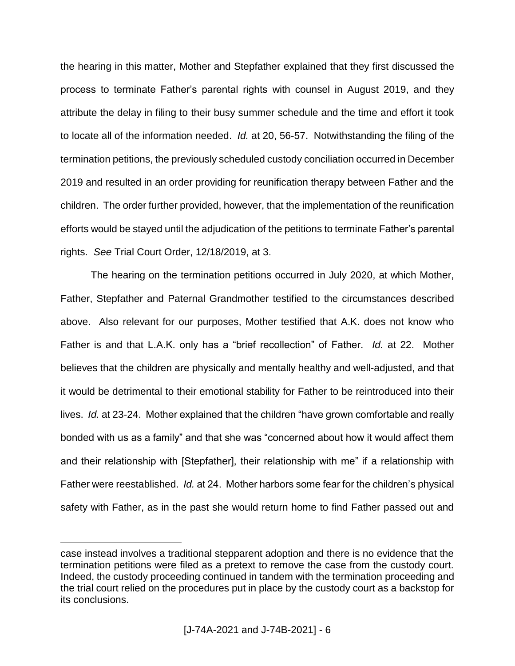the hearing in this matter, Mother and Stepfather explained that they first discussed the process to terminate Father's parental rights with counsel in August 2019, and they attribute the delay in filing to their busy summer schedule and the time and effort it took to locate all of the information needed. *Id.* at 20, 56-57. Notwithstanding the filing of the termination petitions, the previously scheduled custody conciliation occurred in December 2019 and resulted in an order providing for reunification therapy between Father and the children. The order further provided, however, that the implementation of the reunification efforts would be stayed until the adjudication of the petitions to terminate Father's parental rights. *See* Trial Court Order, 12/18/2019, at 3.

The hearing on the termination petitions occurred in July 2020, at which Mother, Father, Stepfather and Paternal Grandmother testified to the circumstances described above. Also relevant for our purposes, Mother testified that A.K. does not know who Father is and that L.A.K. only has a "brief recollection" of Father. *Id.* at 22. Mother believes that the children are physically and mentally healthy and well-adjusted, and that it would be detrimental to their emotional stability for Father to be reintroduced into their lives. *Id.* at 23-24. Mother explained that the children "have grown comfortable and really bonded with us as a family" and that she was "concerned about how it would affect them and their relationship with [Stepfather], their relationship with me" if a relationship with Father were reestablished. *Id.* at 24. Mother harbors some fear for the children's physical safety with Father, as in the past she would return home to find Father passed out and

case instead involves a traditional stepparent adoption and there is no evidence that the termination petitions were filed as a pretext to remove the case from the custody court. Indeed, the custody proceeding continued in tandem with the termination proceeding and the trial court relied on the procedures put in place by the custody court as a backstop for its conclusions.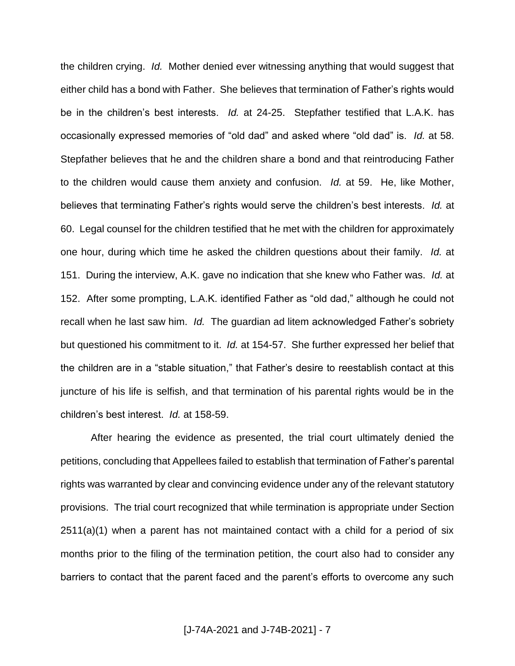the children crying. *Id.* Mother denied ever witnessing anything that would suggest that either child has a bond with Father. She believes that termination of Father's rights would be in the children's best interests. *Id.* at 24-25. Stepfather testified that L.A.K. has occasionally expressed memories of "old dad" and asked where "old dad" is. *Id.* at 58. Stepfather believes that he and the children share a bond and that reintroducing Father to the children would cause them anxiety and confusion. *Id.* at 59. He, like Mother, believes that terminating Father's rights would serve the children's best interests. *Id.* at 60. Legal counsel for the children testified that he met with the children for approximately one hour, during which time he asked the children questions about their family. *Id.* at 151. During the interview, A.K. gave no indication that she knew who Father was. *Id.* at 152. After some prompting, L.A.K. identified Father as "old dad," although he could not recall when he last saw him. *Id.* The guardian ad litem acknowledged Father's sobriety but questioned his commitment to it. *Id.* at 154-57. She further expressed her belief that the children are in a "stable situation," that Father's desire to reestablish contact at this juncture of his life is selfish, and that termination of his parental rights would be in the children's best interest. *Id.* at 158-59.

After hearing the evidence as presented, the trial court ultimately denied the petitions, concluding that Appellees failed to establish that termination of Father's parental rights was warranted by clear and convincing evidence under any of the relevant statutory provisions. The trial court recognized that while termination is appropriate under Section 2511(a)(1) when a parent has not maintained contact with a child for a period of six months prior to the filing of the termination petition, the court also had to consider any barriers to contact that the parent faced and the parent's efforts to overcome any such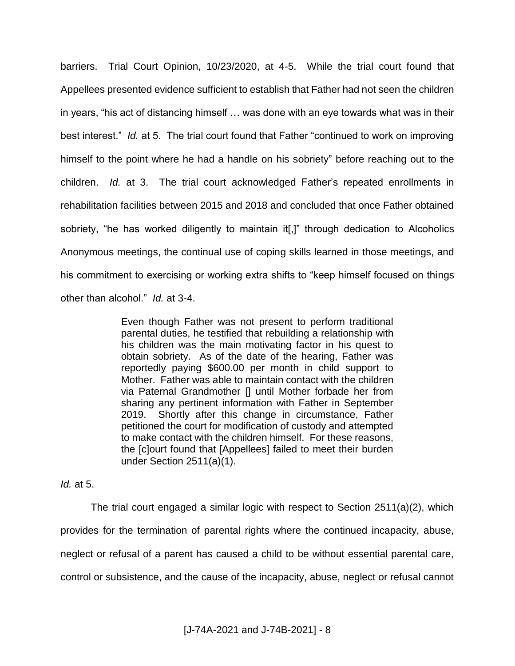barriers. Trial Court Opinion, 10/23/2020, at 4-5. While the trial court found that Appellees presented evidence sufficient to establish that Father had not seen the children in years, "his act of distancing himself … was done with an eye towards what was in their best interest." *Id.* at 5. The trial court found that Father "continued to work on improving himself to the point where he had a handle on his sobriety" before reaching out to the children. *Id.* at 3. The trial court acknowledged Father's repeated enrollments in rehabilitation facilities between 2015 and 2018 and concluded that once Father obtained sobriety, "he has worked diligently to maintain it[,]" through dedication to Alcoholics Anonymous meetings, the continual use of coping skills learned in those meetings, and his commitment to exercising or working extra shifts to "keep himself focused on things other than alcohol." *Id.* at 3-4.

> Even though Father was not present to perform traditional parental duties, he testified that rebuilding a relationship with his children was the main motivating factor in his quest to obtain sobriety. As of the date of the hearing, Father was reportedly paying \$600.00 per month in child support to Mother. Father was able to maintain contact with the children via Paternal Grandmother [] until Mother forbade her from sharing any pertinent information with Father in September 2019. Shortly after this change in circumstance, Father petitioned the court for modification of custody and attempted to make contact with the children himself. For these reasons, the [c]ourt found that [Appellees] failed to meet their burden under Section 2511(a)(1).

## *Id.* at 5.

The trial court engaged a similar logic with respect to Section 2511(a)(2), which provides for the termination of parental rights where the continued incapacity, abuse, neglect or refusal of a parent has caused a child to be without essential parental care, control or subsistence, and the cause of the incapacity, abuse, neglect or refusal cannot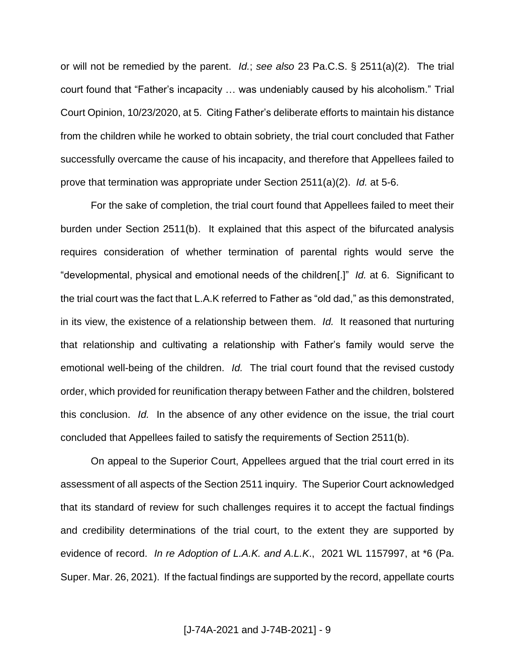or will not be remedied by the parent. *Id.*; *see also* 23 Pa.C.S. § 2511(a)(2). The trial court found that "Father's incapacity … was undeniably caused by his alcoholism." Trial Court Opinion, 10/23/2020, at 5. Citing Father's deliberate efforts to maintain his distance from the children while he worked to obtain sobriety, the trial court concluded that Father successfully overcame the cause of his incapacity, and therefore that Appellees failed to prove that termination was appropriate under Section 2511(a)(2). *Id.* at 5-6.

For the sake of completion, the trial court found that Appellees failed to meet their burden under Section 2511(b). It explained that this aspect of the bifurcated analysis requires consideration of whether termination of parental rights would serve the "developmental, physical and emotional needs of the children[.]" *Id.* at 6. Significant to the trial court was the fact that L.A.K referred to Father as "old dad," as this demonstrated, in its view, the existence of a relationship between them. *Id.* It reasoned that nurturing that relationship and cultivating a relationship with Father's family would serve the emotional well-being of the children. *Id.* The trial court found that the revised custody order, which provided for reunification therapy between Father and the children, bolstered this conclusion. *Id.* In the absence of any other evidence on the issue, the trial court concluded that Appellees failed to satisfy the requirements of Section 2511(b).

On appeal to the Superior Court, Appellees argued that the trial court erred in its assessment of all aspects of the Section 2511 inquiry. The Superior Court acknowledged that its standard of review for such challenges requires it to accept the factual findings and credibility determinations of the trial court, to the extent they are supported by evidence of record. *In re Adoption of L.A.K. and A.L.K*., 2021 WL 1157997, at \*6 (Pa. Super. Mar. 26, 2021). If the factual findings are supported by the record, appellate courts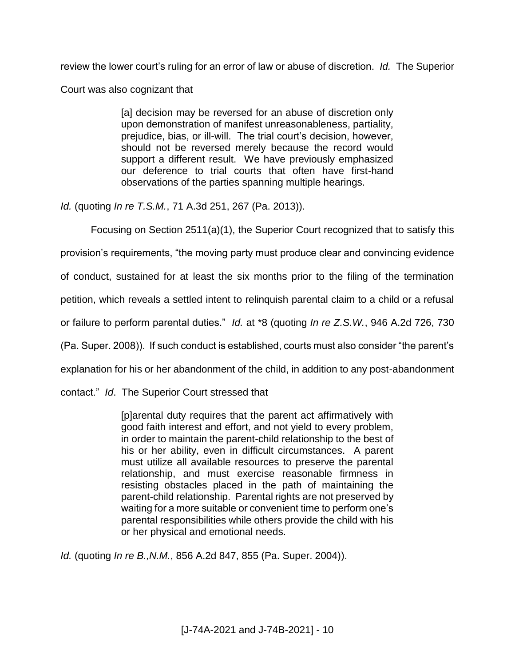review the lower court's ruling for an error of law or abuse of discretion. *Id.* The Superior

Court was also cognizant that

[a] decision may be reversed for an abuse of discretion only upon demonstration of manifest unreasonableness, partiality, prejudice, bias, or ill-will. The trial court's decision, however, should not be reversed merely because the record would support a different result. We have previously emphasized our deference to trial courts that often have first-hand observations of the parties spanning multiple hearings.

*Id.* (quoting *In re T.S.M.*, 71 A.3d 251, 267 (Pa. 2013)).

Focusing on Section 2511(a)(1), the Superior Court recognized that to satisfy this

provision's requirements, "the moving party must produce clear and convincing evidence

of conduct, sustained for at least the six months prior to the filing of the termination

petition, which reveals a settled intent to relinquish parental claim to a child or a refusal

or failure to perform parental duties." *Id.* at \*8 (quoting *In re Z.S.W.*, 946 A.2d 726, 730

(Pa. Super. 2008)). If such conduct is established, courts must also consider "the parent's

explanation for his or her abandonment of the child, in addition to any post-abandonment

contact." *Id*. The Superior Court stressed that

[p]arental duty requires that the parent act affirmatively with good faith interest and effort, and not yield to every problem, in order to maintain the parent-child relationship to the best of his or her ability, even in difficult circumstances. A parent must utilize all available resources to preserve the parental relationship, and must exercise reasonable firmness in resisting obstacles placed in the path of maintaining the parent-child relationship. Parental rights are not preserved by waiting for a more suitable or convenient time to perform one's parental responsibilities while others provide the child with his or her physical and emotional needs.

*Id.* (quoting *In re B.,N.M.*, 856 A.2d 847, 855 (Pa. Super. 2004)).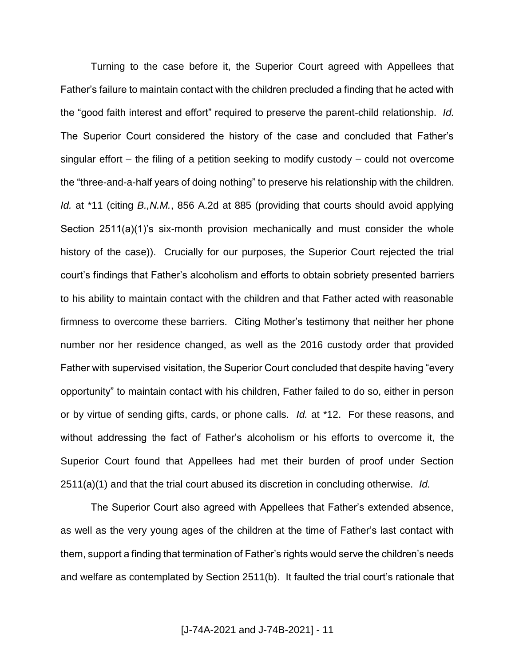Turning to the case before it, the Superior Court agreed with Appellees that Father's failure to maintain contact with the children precluded a finding that he acted with the "good faith interest and effort" required to preserve the parent-child relationship. *Id.* The Superior Court considered the history of the case and concluded that Father's singular effort – the filing of a petition seeking to modify custody – could not overcome the "three-and-a-half years of doing nothing" to preserve his relationship with the children. *Id.* at \*11 (citing *B.,N.M.*, 856 A.2d at 885 (providing that courts should avoid applying Section 2511(a)(1)'s six-month provision mechanically and must consider the whole history of the case)). Crucially for our purposes, the Superior Court rejected the trial court's findings that Father's alcoholism and efforts to obtain sobriety presented barriers to his ability to maintain contact with the children and that Father acted with reasonable firmness to overcome these barriers. Citing Mother's testimony that neither her phone number nor her residence changed, as well as the 2016 custody order that provided Father with supervised visitation, the Superior Court concluded that despite having "every opportunity" to maintain contact with his children, Father failed to do so, either in person or by virtue of sending gifts, cards, or phone calls. *Id.* at \*12. For these reasons, and without addressing the fact of Father's alcoholism or his efforts to overcome it, the Superior Court found that Appellees had met their burden of proof under Section 2511(a)(1) and that the trial court abused its discretion in concluding otherwise. *Id.*

The Superior Court also agreed with Appellees that Father's extended absence, as well as the very young ages of the children at the time of Father's last contact with them, support a finding that termination of Father's rights would serve the children's needs and welfare as contemplated by Section 2511(b). It faulted the trial court's rationale that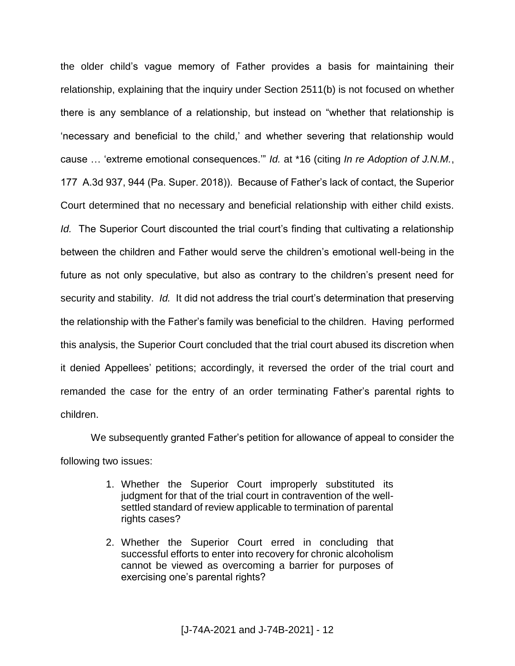the older child's vague memory of Father provides a basis for maintaining their relationship, explaining that the inquiry under Section 2511(b) is not focused on whether there is any semblance of a relationship, but instead on "whether that relationship is 'necessary and beneficial to the child,' and whether severing that relationship would cause … 'extreme emotional consequences.'" *Id.* at \*16 (citing *In re Adoption of J.N.M.*, 177 A.3d 937, 944 (Pa. Super. 2018)). Because of Father's lack of contact, the Superior Court determined that no necessary and beneficial relationship with either child exists. *Id.* The Superior Court discounted the trial court's finding that cultivating a relationship between the children and Father would serve the children's emotional well-being in the future as not only speculative, but also as contrary to the children's present need for security and stability. *Id.* It did not address the trial court's determination that preserving the relationship with the Father's family was beneficial to the children. Having performed this analysis, the Superior Court concluded that the trial court abused its discretion when it denied Appellees' petitions; accordingly, it reversed the order of the trial court and remanded the case for the entry of an order terminating Father's parental rights to children.

We subsequently granted Father's petition for allowance of appeal to consider the following two issues:

- 1. Whether the Superior Court improperly substituted its judgment for that of the trial court in contravention of the wellsettled standard of review applicable to termination of parental rights cases?
- 2. Whether the Superior Court erred in concluding that successful efforts to enter into recovery for chronic alcoholism cannot be viewed as overcoming a barrier for purposes of exercising one's parental rights?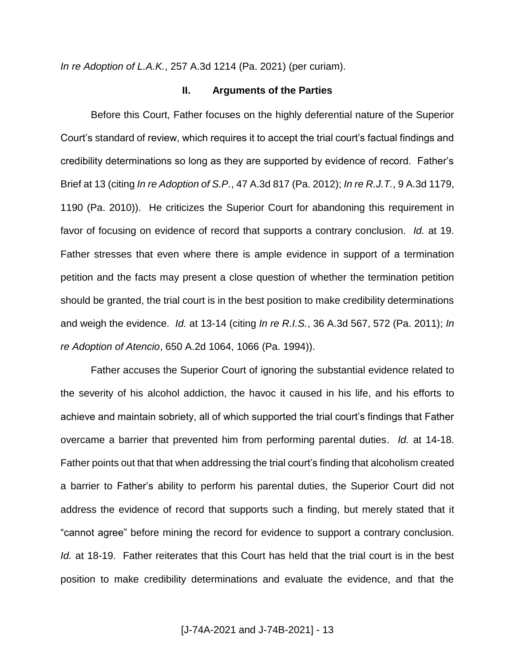*In re Adoption of L.A.K.*, 257 A.3d 1214 (Pa. 2021) (per curiam).

#### **II. Arguments of the Parties**

Before this Court, Father focuses on the highly deferential nature of the Superior Court's standard of review, which requires it to accept the trial court's factual findings and credibility determinations so long as they are supported by evidence of record. Father's Brief at 13 (citing *In re Adoption of S.P.*, 47 A.3d 817 (Pa. 2012); *In re R.J.T.*, 9 A.3d 1179, 1190 (Pa. 2010)). He criticizes the Superior Court for abandoning this requirement in favor of focusing on evidence of record that supports a contrary conclusion. *Id.* at 19. Father stresses that even where there is ample evidence in support of a termination petition and the facts may present a close question of whether the termination petition should be granted, the trial court is in the best position to make credibility determinations and weigh the evidence. *Id.* at 13-14 (citing *In re R.I.S.*, 36 A.3d 567, 572 (Pa. 2011); *In re Adoption of Atencio*, 650 A.2d 1064, 1066 (Pa. 1994)).

Father accuses the Superior Court of ignoring the substantial evidence related to the severity of his alcohol addiction, the havoc it caused in his life, and his efforts to achieve and maintain sobriety, all of which supported the trial court's findings that Father overcame a barrier that prevented him from performing parental duties. *Id.* at 14-18. Father points out that that when addressing the trial court's finding that alcoholism created a barrier to Father's ability to perform his parental duties, the Superior Court did not address the evidence of record that supports such a finding, but merely stated that it "cannot agree" before mining the record for evidence to support a contrary conclusion. *Id.* at 18-19. Father reiterates that this Court has held that the trial court is in the best position to make credibility determinations and evaluate the evidence, and that the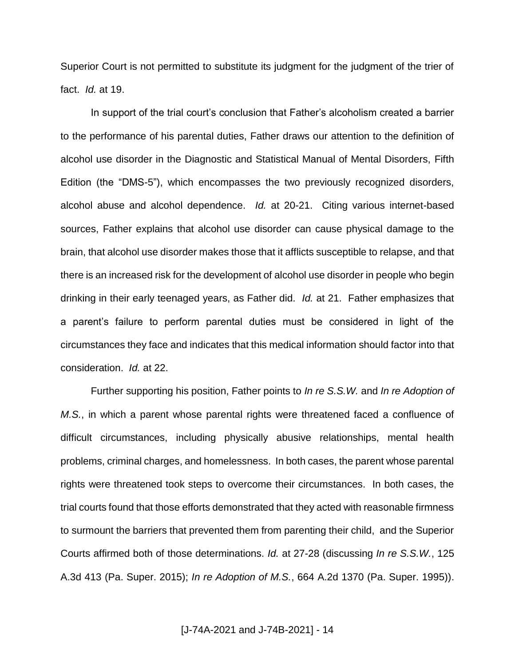Superior Court is not permitted to substitute its judgment for the judgment of the trier of fact. *Id.* at 19.

In support of the trial court's conclusion that Father's alcoholism created a barrier to the performance of his parental duties, Father draws our attention to the definition of alcohol use disorder in the Diagnostic and Statistical Manual of Mental Disorders, Fifth Edition (the "DMS-5"), which encompasses the two previously recognized disorders, alcohol abuse and alcohol dependence. *Id.* at 20-21. Citing various internet-based sources, Father explains that alcohol use disorder can cause physical damage to the brain, that alcohol use disorder makes those that it afflicts susceptible to relapse, and that there is an increased risk for the development of alcohol use disorder in people who begin drinking in their early teenaged years, as Father did. *Id.* at 21. Father emphasizes that a parent's failure to perform parental duties must be considered in light of the circumstances they face and indicates that this medical information should factor into that consideration. *Id.* at 22.

Further supporting his position, Father points to *In re S.S.W.* and *In re Adoption of M.S.*, in which a parent whose parental rights were threatened faced a confluence of difficult circumstances, including physically abusive relationships, mental health problems, criminal charges, and homelessness. In both cases, the parent whose parental rights were threatened took steps to overcome their circumstances. In both cases, the trial courts found that those efforts demonstrated that they acted with reasonable firmness to surmount the barriers that prevented them from parenting their child, and the Superior Courts affirmed both of those determinations. *Id.* at 27-28 (discussing *In re S.S.W.*, 125 A.3d 413 (Pa. Super. 2015); *In re Adoption of M.S.*, 664 A.2d 1370 (Pa. Super. 1995)).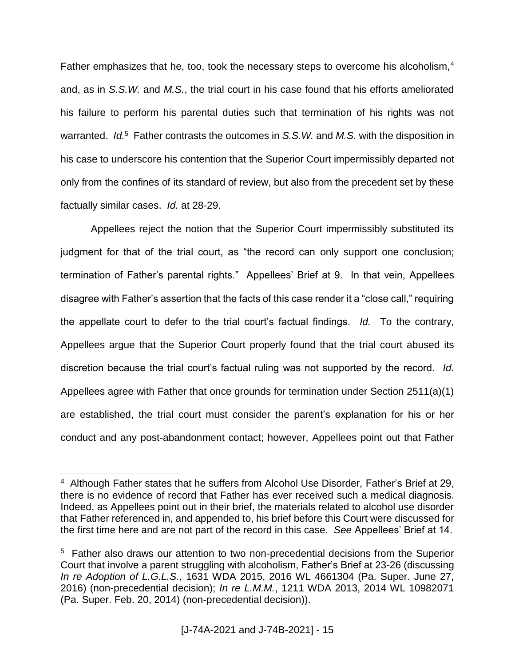Father emphasizes that he, too, took the necessary steps to overcome his alcoholism,<sup>4</sup> and, as in *S.S.W.* and *M.S.*, the trial court in his case found that his efforts ameliorated his failure to perform his parental duties such that termination of his rights was not warranted. *Id.*<sup>5</sup> Father contrasts the outcomes in *S.S.W.* and *M.S.* with the disposition in his case to underscore his contention that the Superior Court impermissibly departed not only from the confines of its standard of review, but also from the precedent set by these factually similar cases. *Id.* at 28-29.

Appellees reject the notion that the Superior Court impermissibly substituted its judgment for that of the trial court, as "the record can only support one conclusion; termination of Father's parental rights." Appellees' Brief at 9. In that vein, Appellees disagree with Father's assertion that the facts of this case render it a "close call," requiring the appellate court to defer to the trial court's factual findings. *Id.* To the contrary, Appellees argue that the Superior Court properly found that the trial court abused its discretion because the trial court's factual ruling was not supported by the record. *Id.* Appellees agree with Father that once grounds for termination under Section 2511(a)(1) are established, the trial court must consider the parent's explanation for his or her conduct and any post-abandonment contact; however, Appellees point out that Father

<sup>4</sup> Although Father states that he suffers from Alcohol Use Disorder*,* Father's Brief at 29, there is no evidence of record that Father has ever received such a medical diagnosis. Indeed, as Appellees point out in their brief, the materials related to alcohol use disorder that Father referenced in, and appended to, his brief before this Court were discussed for the first time here and are not part of the record in this case. *See* Appellees' Brief at 14.

<sup>&</sup>lt;sup>5</sup> Father also draws our attention to two non-precedential decisions from the Superior Court that involve a parent struggling with alcoholism, Father's Brief at 23-26 (discussing *In re Adoption of L.G.L.S.*, 1631 WDA 2015, 2016 WL 4661304 (Pa. Super. June 27, 2016) (non-precedential decision); *In re L.M.M.*, 1211 WDA 2013, 2014 WL 10982071 (Pa. Super. Feb. 20, 2014) (non-precedential decision)).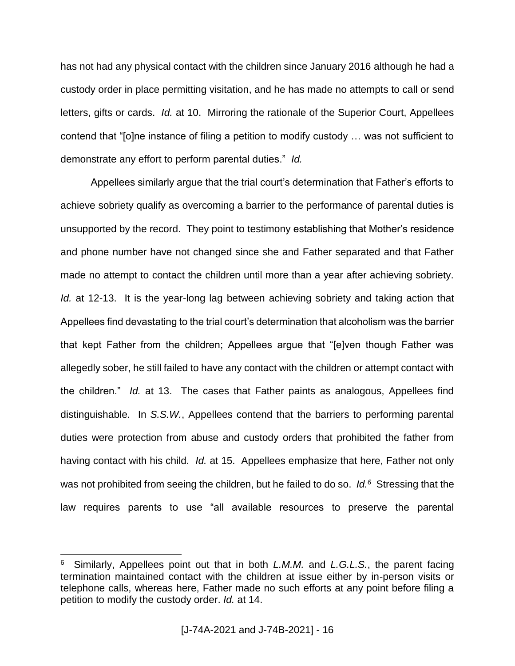has not had any physical contact with the children since January 2016 although he had a custody order in place permitting visitation, and he has made no attempts to call or send letters, gifts or cards. *Id.* at 10. Mirroring the rationale of the Superior Court, Appellees contend that "[o]ne instance of filing a petition to modify custody … was not sufficient to demonstrate any effort to perform parental duties." *Id.*

Appellees similarly argue that the trial court's determination that Father's efforts to achieve sobriety qualify as overcoming a barrier to the performance of parental duties is unsupported by the record. They point to testimony establishing that Mother's residence and phone number have not changed since she and Father separated and that Father made no attempt to contact the children until more than a year after achieving sobriety. *Id.* at 12-13. It is the year-long lag between achieving sobriety and taking action that Appellees find devastating to the trial court's determination that alcoholism was the barrier that kept Father from the children; Appellees argue that "[e]ven though Father was allegedly sober, he still failed to have any contact with the children or attempt contact with the children." *Id.* at 13. The cases that Father paints as analogous, Appellees find distinguishable. In *S.S.W.*, Appellees contend that the barriers to performing parental duties were protection from abuse and custody orders that prohibited the father from having contact with his child. *Id.* at 15. Appellees emphasize that here, Father not only was not prohibited from seeing the children, but he failed to do so. *Id.<sup>6</sup>* Stressing that the law requires parents to use "all available resources to preserve the parental

<sup>6</sup> Similarly, Appellees point out that in both *L.M.M.* and *L.G.L.S.*, the parent facing termination maintained contact with the children at issue either by in-person visits or telephone calls, whereas here, Father made no such efforts at any point before filing a petition to modify the custody order. *Id.* at 14.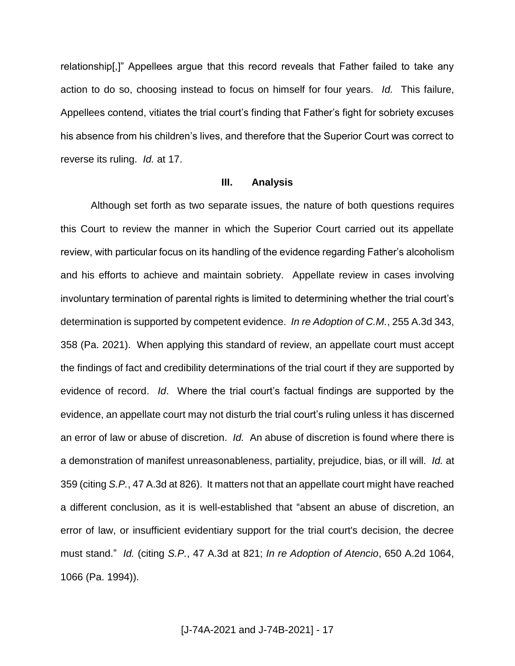relationship[,]" Appellees argue that this record reveals that Father failed to take any action to do so, choosing instead to focus on himself for four years. *Id.* This failure, Appellees contend, vitiates the trial court's finding that Father's fight for sobriety excuses his absence from his children's lives, and therefore that the Superior Court was correct to reverse its ruling. *Id.* at 17.

#### **III. Analysis**

Although set forth as two separate issues, the nature of both questions requires this Court to review the manner in which the Superior Court carried out its appellate review, with particular focus on its handling of the evidence regarding Father's alcoholism and his efforts to achieve and maintain sobriety. Appellate review in cases involving involuntary termination of parental rights is limited to determining whether the trial court's determination is supported by competent evidence. *In re Adoption of C.M.*, 255 A.3d 343, 358 (Pa. 2021). When applying this standard of review, an appellate court must accept the findings of fact and credibility determinations of the trial court if they are supported by evidence of record. *Id*. Where the trial court's factual findings are supported by the evidence, an appellate court may not disturb the trial court's ruling unless it has discerned an error of law or abuse of discretion. *Id.* An abuse of discretion is found where there is a demonstration of manifest unreasonableness, partiality, prejudice, bias, or ill will. *Id.* at 359 (citing *S.P.*, 47 A.3d at 826). It matters not that an appellate court might have reached a different conclusion, as it is well-established that "absent an abuse of discretion, an error of law, or insufficient evidentiary support for the trial court's decision, the decree must stand." *Id.* (citing *S.P.*, 47 A.3d at 821; *In re Adoption of Atencio*, 650 A.2d 1064, 1066 (Pa. 1994)).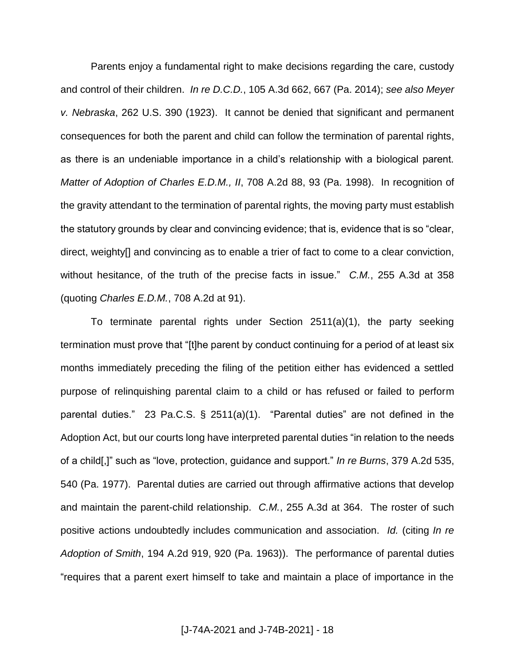Parents enjoy a fundamental right to make decisions regarding the care, custody and control of their children. *In re D.C.D.*, 105 A.3d 662, 667 (Pa. 2014); *see also Meyer v. Nebraska*, 262 U.S. 390 (1923). It cannot be denied that significant and permanent consequences for both the parent and child can follow the termination of parental rights, as there is an undeniable importance in a child's relationship with a biological parent. *Matter of Adoption of Charles E.D.M., II*, 708 A.2d 88, 93 (Pa. 1998). In recognition of the gravity attendant to the termination of parental rights, the moving party must establish the statutory grounds by clear and convincing evidence; that is, evidence that is so "clear, direct, weighty[] and convincing as to enable a trier of fact to come to a clear conviction, without hesitance, of the truth of the precise facts in issue." *C.M.*, 255 A.3d at 358 (quoting *Charles E.D.M.*, 708 A.2d at 91).

To terminate parental rights under Section 2511(a)(1), the party seeking termination must prove that "[t]he parent by conduct continuing for a period of at least six months immediately preceding the filing of the petition either has evidenced a settled purpose of relinquishing parental claim to a child or has refused or failed to perform parental duties." 23 Pa.C.S. § 2511(a)(1). "Parental duties" are not defined in the Adoption Act, but our courts long have interpreted parental duties "in relation to the needs of a child[,]" such as "love, protection, guidance and support." *In re Burns*, 379 A.2d 535, 540 (Pa. 1977). Parental duties are carried out through affirmative actions that develop and maintain the parent-child relationship. *C.M.*, 255 A.3d at 364. The roster of such positive actions undoubtedly includes communication and association. *Id.* (citing *In re Adoption of Smith*, 194 A.2d 919, 920 (Pa. 1963)). The performance of parental duties "requires that a parent exert himself to take and maintain a place of importance in the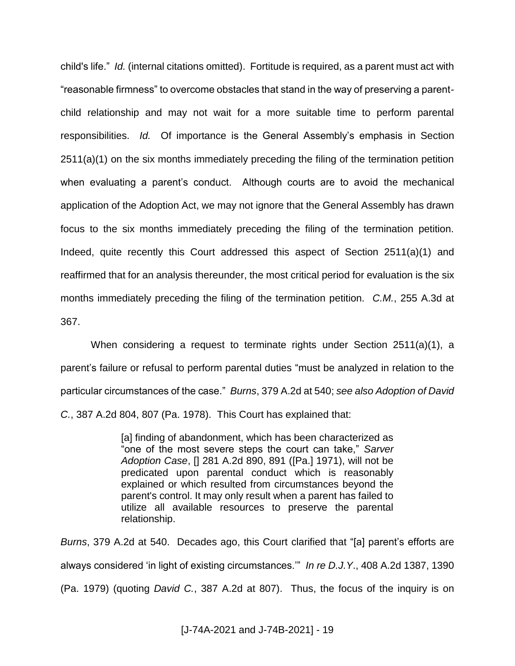child's life." *Id.* (internal citations omitted). Fortitude is required, as a parent must act with "reasonable firmness" to overcome obstacles that stand in the way of preserving a parentchild relationship and may not wait for a more suitable time to perform parental responsibilities. *Id.* Of importance is the General Assembly's emphasis in Section 2511(a)(1) on the six months immediately preceding the filing of the termination petition when evaluating a parent's conduct. Although courts are to avoid the mechanical application of the Adoption Act, we may not ignore that the General Assembly has drawn focus to the six months immediately preceding the filing of the termination petition. Indeed, quite recently this Court addressed this aspect of Section 2511(a)(1) and reaffirmed that for an analysis thereunder, the most critical period for evaluation is the six months immediately preceding the filing of the termination petition. *C.M.*, 255 A.3d at 367.

When considering a request to terminate rights under Section 2511(a)(1), a parent's failure or refusal to perform parental duties "must be analyzed in relation to the particular circumstances of the case." *Burns*, 379 A.2d at 540; *see also Adoption of David C.*, 387 A.2d 804, 807 (Pa. 1978). This Court has explained that:

> [a] finding of abandonment, which has been characterized as "one of the most severe steps the court can take," *Sarver Adoption Case*, [] 281 A.2d 890, 891 ([Pa.] 1971), will not be predicated upon parental conduct which is reasonably explained or which resulted from circumstances beyond the parent's control. It may only result when a parent has failed to utilize all available resources to preserve the parental relationship.

*Burns*, 379 A.2d at 540. Decades ago, this Court clarified that "[a] parent's efforts are always considered 'in light of existing circumstances.'" *In re D.J.Y*., 408 A.2d 1387, 1390 (Pa. 1979) (quoting *David C.*, 387 A.2d at 807). Thus, the focus of the inquiry is on

[J-74A-2021 and J-74B-2021] - 19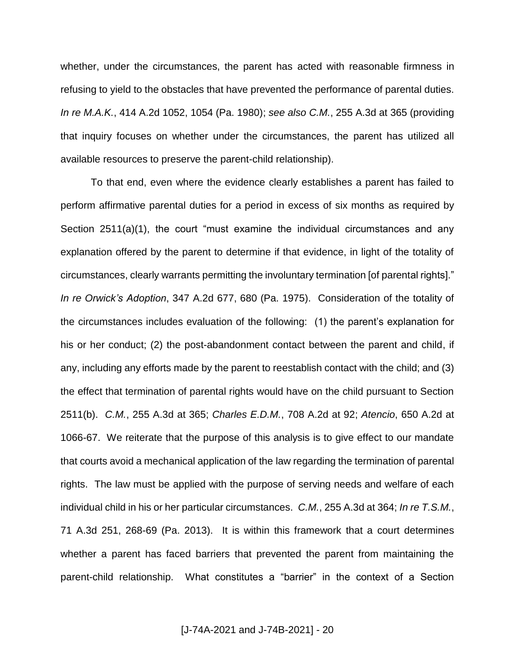whether, under the circumstances, the parent has acted with reasonable firmness in refusing to yield to the obstacles that have prevented the performance of parental duties. *In re M.A.K.*, 414 A.2d 1052, 1054 (Pa. 1980); *see also C.M.*, 255 A.3d at 365 (providing that inquiry focuses on whether under the circumstances, the parent has utilized all available resources to preserve the parent-child relationship).

To that end, even where the evidence clearly establishes a parent has failed to perform affirmative parental duties for a period in excess of six months as required by Section 2511(a)(1), the court "must examine the individual circumstances and any explanation offered by the parent to determine if that evidence, in light of the totality of circumstances, clearly warrants permitting the involuntary termination [of parental rights]." *In re Orwick's Adoption*, 347 A.2d 677, 680 (Pa. 1975). Consideration of the totality of the circumstances includes evaluation of the following: (1) the parent's explanation for his or her conduct; (2) the post-abandonment contact between the parent and child, if any, including any efforts made by the parent to reestablish contact with the child; and (3) the effect that termination of parental rights would have on the child pursuant to Section 2511(b). *C.M.*, 255 A.3d at 365; *Charles E.D.M.*, 708 A.2d at 92; *Atencio*, 650 A.2d at 1066-67. We reiterate that the purpose of this analysis is to give effect to our mandate that courts avoid a mechanical application of the law regarding the termination of parental rights. The law must be applied with the purpose of serving needs and welfare of each individual child in his or her particular circumstances. *C.M.*, 255 A.3d at 364; *In re T.S.M.*, 71 A.3d 251, 268-69 (Pa. 2013). It is within this framework that a court determines whether a parent has faced barriers that prevented the parent from maintaining the parent-child relationship. What constitutes a "barrier" in the context of a Section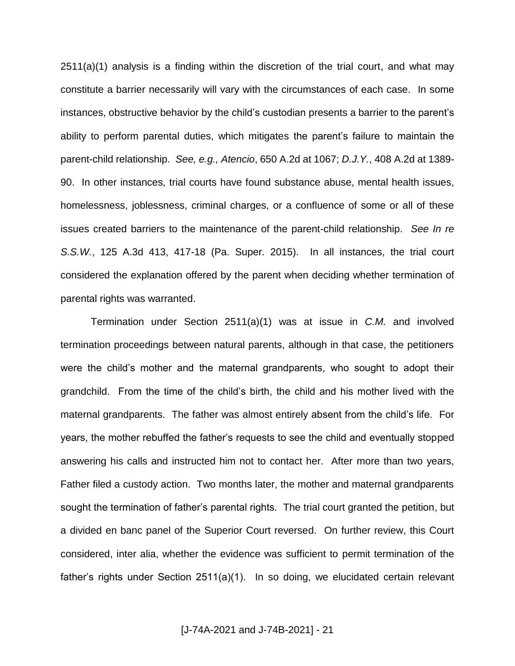2511(a)(1) analysis is a finding within the discretion of the trial court, and what may constitute a barrier necessarily will vary with the circumstances of each case. In some instances, obstructive behavior by the child's custodian presents a barrier to the parent's ability to perform parental duties, which mitigates the parent's failure to maintain the parent-child relationship. *See, e.g., Atencio*, 650 A.2d at 1067; *D.J.Y.*, 408 A.2d at 1389- 90. In other instances, trial courts have found substance abuse, mental health issues, homelessness, joblessness, criminal charges, or a confluence of some or all of these issues created barriers to the maintenance of the parent-child relationship. *See In re S.S.W.*, 125 A.3d 413, 417-18 (Pa. Super. 2015). In all instances, the trial court considered the explanation offered by the parent when deciding whether termination of parental rights was warranted.

Termination under Section 2511(a)(1) was at issue in *C.M.* and involved termination proceedings between natural parents, although in that case, the petitioners were the child's mother and the maternal grandparents, who sought to adopt their grandchild. From the time of the child's birth, the child and his mother lived with the maternal grandparents. The father was almost entirely absent from the child's life. For years, the mother rebuffed the father's requests to see the child and eventually stopped answering his calls and instructed him not to contact her. After more than two years, Father filed a custody action. Two months later, the mother and maternal grandparents sought the termination of father's parental rights. The trial court granted the petition, but a divided en banc panel of the Superior Court reversed. On further review, this Court considered, inter alia, whether the evidence was sufficient to permit termination of the father's rights under Section 2511(a)(1). In so doing, we elucidated certain relevant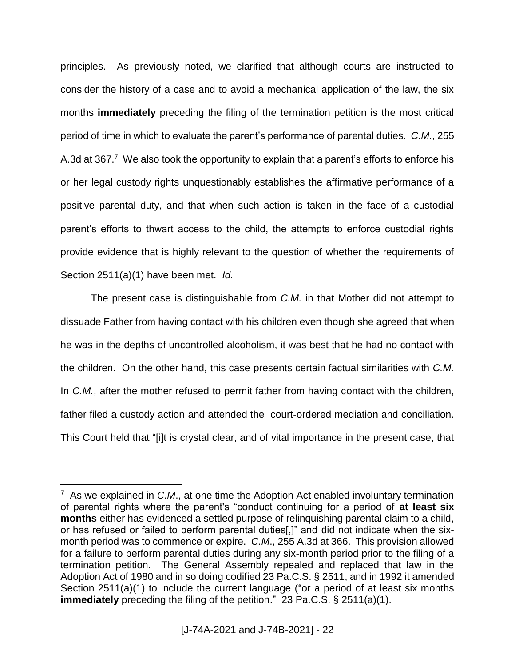principles. As previously noted, we clarified that although courts are instructed to consider the history of a case and to avoid a mechanical application of the law, the six months **immediately** preceding the filing of the termination petition is the most critical period of time in which to evaluate the parent's performance of parental duties. *C.M.*, 255 A.3d at 367.<sup>7</sup> We also took the opportunity to explain that a parent's efforts to enforce his or her legal custody rights unquestionably establishes the affirmative performance of a positive parental duty, and that when such action is taken in the face of a custodial parent's efforts to thwart access to the child, the attempts to enforce custodial rights provide evidence that is highly relevant to the question of whether the requirements of Section 2511(a)(1) have been met. *Id.*

The present case is distinguishable from *C.M.* in that Mother did not attempt to dissuade Father from having contact with his children even though she agreed that when he was in the depths of uncontrolled alcoholism, it was best that he had no contact with the children. On the other hand, this case presents certain factual similarities with *C.M.* In *C.M.*, after the mother refused to permit father from having contact with the children, father filed a custody action and attended the court-ordered mediation and conciliation. This Court held that "[i]t is crystal clear, and of vital importance in the present case, that

<sup>7</sup> As we explained in *C.M*., at one time the Adoption Act enabled involuntary termination of parental rights where the parent's "conduct continuing for a period of **at least six months** either has evidenced a settled purpose of relinquishing parental claim to a child, or has refused or failed to perform parental duties[,]" and did not indicate when the sixmonth period was to commence or expire. *C.M*., 255 A.3d at 366. This provision allowed for a failure to perform parental duties during any six-month period prior to the filing of a termination petition. The General Assembly repealed and replaced that law in the Adoption Act of 1980 and in so doing codified 23 Pa.C.S. § 2511, and in 1992 it amended Section 2511(a)(1) to include the current language ("or a period of at least six months **immediately** preceding the filing of the petition." 23 Pa.C.S. § 2511(a)(1).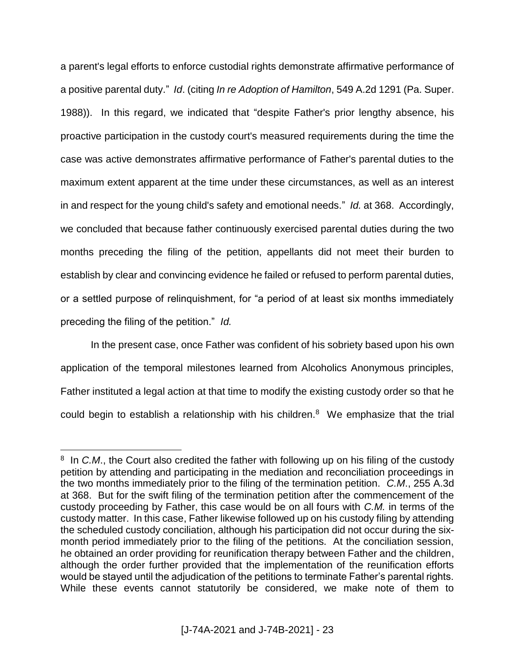a parent's legal efforts to enforce custodial rights demonstrate affirmative performance of a positive parental duty." *Id*. (citing *In re Adoption of Hamilton*, 549 A.2d 1291 (Pa. Super. 1988)). In this regard, we indicated that "despite Father's prior lengthy absence, his proactive participation in the custody court's measured requirements during the time the case was active demonstrates affirmative performance of Father's parental duties to the maximum extent apparent at the time under these circumstances, as well as an interest in and respect for the young child's safety and emotional needs." *Id.* at 368. Accordingly, we concluded that because father continuously exercised parental duties during the two months preceding the filing of the petition, appellants did not meet their burden to establish by clear and convincing evidence he failed or refused to perform parental duties, or a settled purpose of relinquishment, for "a period of at least six months immediately preceding the filing of the petition." *Id.*

In the present case, once Father was confident of his sobriety based upon his own application of the temporal milestones learned from Alcoholics Anonymous principles, Father instituted a legal action at that time to modify the existing custody order so that he could begin to establish a relationship with his children. $8$  We emphasize that the trial

<sup>&</sup>lt;sup>8</sup> In *C.M.*, the Court also credited the father with following up on his filing of the custody petition by attending and participating in the mediation and reconciliation proceedings in the two months immediately prior to the filing of the termination petition. *C.M*., 255 A.3d at 368. But for the swift filing of the termination petition after the commencement of the custody proceeding by Father, this case would be on all fours with *C.M.* in terms of the custody matter. In this case, Father likewise followed up on his custody filing by attending the scheduled custody conciliation, although his participation did not occur during the sixmonth period immediately prior to the filing of the petitions. At the conciliation session, he obtained an order providing for reunification therapy between Father and the children, although the order further provided that the implementation of the reunification efforts would be stayed until the adjudication of the petitions to terminate Father's parental rights. While these events cannot statutorily be considered, we make note of them to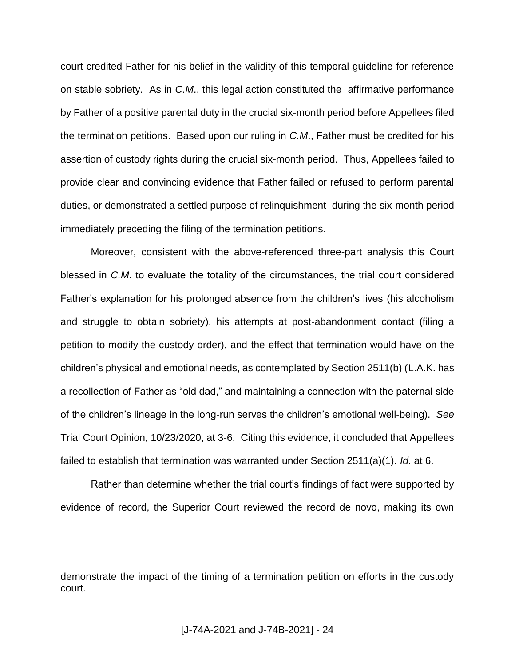court credited Father for his belief in the validity of this temporal guideline for reference on stable sobriety. As in *C.M*., this legal action constituted the affirmative performance by Father of a positive parental duty in the crucial six-month period before Appellees filed the termination petitions. Based upon our ruling in *C.M*., Father must be credited for his assertion of custody rights during the crucial six-month period. Thus, Appellees failed to provide clear and convincing evidence that Father failed or refused to perform parental duties, or demonstrated a settled purpose of relinquishment during the six-month period immediately preceding the filing of the termination petitions.

Moreover, consistent with the above-referenced three-part analysis this Court blessed in *C.M*. to evaluate the totality of the circumstances, the trial court considered Father's explanation for his prolonged absence from the children's lives (his alcoholism and struggle to obtain sobriety), his attempts at post-abandonment contact (filing a petition to modify the custody order), and the effect that termination would have on the children's physical and emotional needs, as contemplated by Section 2511(b) (L.A.K. has a recollection of Father as "old dad," and maintaining a connection with the paternal side of the children's lineage in the long-run serves the children's emotional well-being). *See* Trial Court Opinion, 10/23/2020, at 3-6. Citing this evidence, it concluded that Appellees failed to establish that termination was warranted under Section 2511(a)(1). *Id.* at 6.

Rather than determine whether the trial court's findings of fact were supported by evidence of record, the Superior Court reviewed the record de novo, making its own

demonstrate the impact of the timing of a termination petition on efforts in the custody court.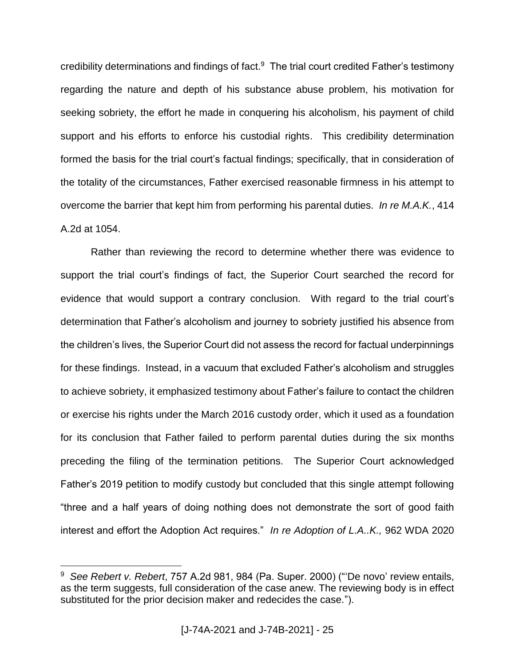credibility determinations and findings of fact.<sup>9</sup> The trial court credited Father's testimony regarding the nature and depth of his substance abuse problem, his motivation for seeking sobriety, the effort he made in conquering his alcoholism, his payment of child support and his efforts to enforce his custodial rights. This credibility determination formed the basis for the trial court's factual findings; specifically, that in consideration of the totality of the circumstances, Father exercised reasonable firmness in his attempt to overcome the barrier that kept him from performing his parental duties. *In re M.A.K.*, 414 A.2d at 1054.

Rather than reviewing the record to determine whether there was evidence to support the trial court's findings of fact, the Superior Court searched the record for evidence that would support a contrary conclusion. With regard to the trial court's determination that Father's alcoholism and journey to sobriety justified his absence from the children's lives, the Superior Court did not assess the record for factual underpinnings for these findings. Instead, in a vacuum that excluded Father's alcoholism and struggles to achieve sobriety, it emphasized testimony about Father's failure to contact the children or exercise his rights under the March 2016 custody order, which it used as a foundation for its conclusion that Father failed to perform parental duties during the six months preceding the filing of the termination petitions. The Superior Court acknowledged Father's 2019 petition to modify custody but concluded that this single attempt following "three and a half years of doing nothing does not demonstrate the sort of good faith interest and effort the Adoption Act requires." *In re Adoption of L.A..K.,* 962 WDA 2020

<sup>9</sup> *See Rebert v. Rebert*, 757 A.2d 981, 984 (Pa. Super. 2000) ("'De novo' review entails, as the term suggests, full consideration of the case anew. The reviewing body is in effect substituted for the prior decision maker and redecides the case.").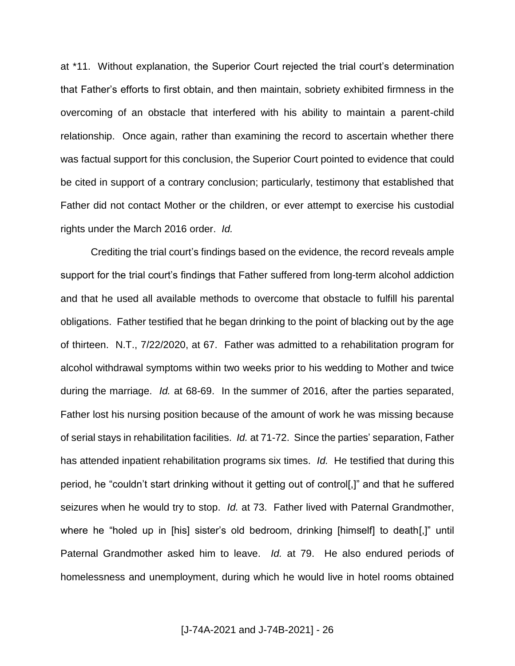at \*11. Without explanation, the Superior Court rejected the trial court's determination that Father's efforts to first obtain, and then maintain, sobriety exhibited firmness in the overcoming of an obstacle that interfered with his ability to maintain a parent-child relationship. Once again, rather than examining the record to ascertain whether there was factual support for this conclusion, the Superior Court pointed to evidence that could be cited in support of a contrary conclusion; particularly, testimony that established that Father did not contact Mother or the children, or ever attempt to exercise his custodial rights under the March 2016 order. *Id.*

Crediting the trial court's findings based on the evidence, the record reveals ample support for the trial court's findings that Father suffered from long-term alcohol addiction and that he used all available methods to overcome that obstacle to fulfill his parental obligations. Father testified that he began drinking to the point of blacking out by the age of thirteen. N.T., 7/22/2020, at 67. Father was admitted to a rehabilitation program for alcohol withdrawal symptoms within two weeks prior to his wedding to Mother and twice during the marriage. *Id.* at 68-69. In the summer of 2016, after the parties separated, Father lost his nursing position because of the amount of work he was missing because of serial stays in rehabilitation facilities. *Id.* at 71-72. Since the parties' separation, Father has attended inpatient rehabilitation programs six times. *Id.* He testified that during this period, he "couldn't start drinking without it getting out of control[,]" and that he suffered seizures when he would try to stop. *Id.* at 73. Father lived with Paternal Grandmother, where he "holed up in [his] sister's old bedroom, drinking [himself] to death[,]" until Paternal Grandmother asked him to leave. *Id.* at 79. He also endured periods of homelessness and unemployment, during which he would live in hotel rooms obtained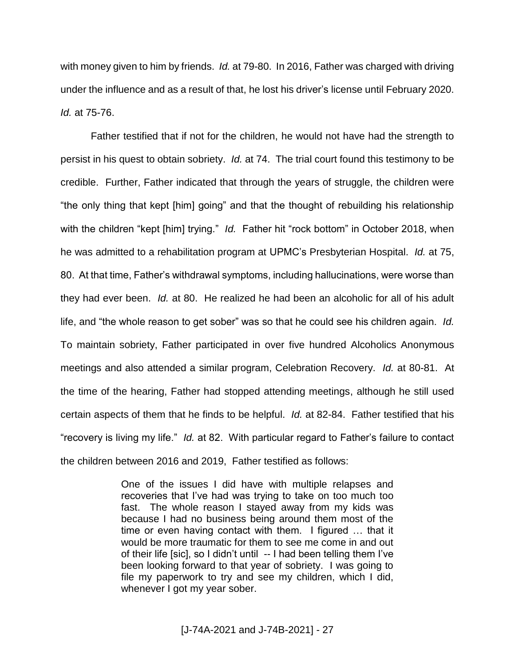with money given to him by friends. *Id.* at 79-80. In 2016, Father was charged with driving under the influence and as a result of that, he lost his driver's license until February 2020. *Id.* at 75-76.

Father testified that if not for the children, he would not have had the strength to persist in his quest to obtain sobriety. *Id.* at 74. The trial court found this testimony to be credible. Further, Father indicated that through the years of struggle, the children were "the only thing that kept [him] going" and that the thought of rebuilding his relationship with the children "kept [him] trying." *Id.* Father hit "rock bottom" in October 2018, when he was admitted to a rehabilitation program at UPMC's Presbyterian Hospital. *Id.* at 75, 80. At that time, Father's withdrawal symptoms, including hallucinations, were worse than they had ever been. *Id.* at 80. He realized he had been an alcoholic for all of his adult life, and "the whole reason to get sober" was so that he could see his children again. *Id.* To maintain sobriety, Father participated in over five hundred Alcoholics Anonymous meetings and also attended a similar program, Celebration Recovery. *Id.* at 80-81. At the time of the hearing, Father had stopped attending meetings, although he still used certain aspects of them that he finds to be helpful. *Id.* at 82-84. Father testified that his "recovery is living my life." *Id.* at 82. With particular regard to Father's failure to contact the children between 2016 and 2019, Father testified as follows:

> One of the issues I did have with multiple relapses and recoveries that I've had was trying to take on too much too fast. The whole reason I stayed away from my kids was because I had no business being around them most of the time or even having contact with them. I figured … that it would be more traumatic for them to see me come in and out of their life [sic], so I didn't until -- I had been telling them I've been looking forward to that year of sobriety. I was going to file my paperwork to try and see my children, which I did, whenever I got my year sober.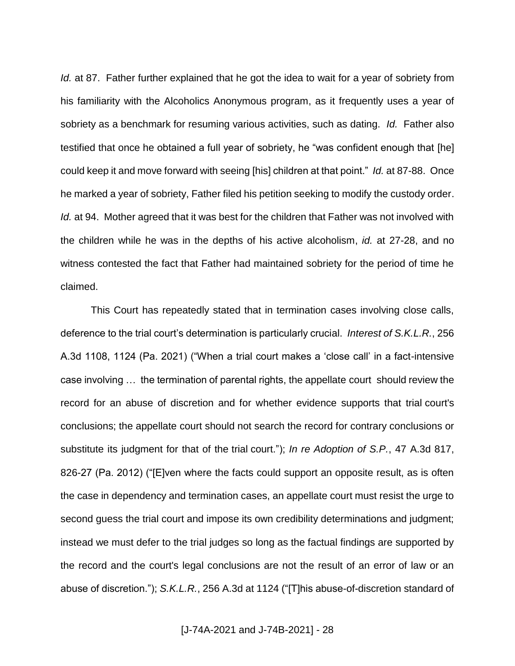*Id.* at 87. Father further explained that he got the idea to wait for a year of sobriety from his familiarity with the Alcoholics Anonymous program, as it frequently uses a year of sobriety as a benchmark for resuming various activities, such as dating. *Id.* Father also testified that once he obtained a full year of sobriety, he "was confident enough that [he] could keep it and move forward with seeing [his] children at that point." *Id.* at 87-88. Once he marked a year of sobriety, Father filed his petition seeking to modify the custody order. *Id.* at 94. Mother agreed that it was best for the children that Father was not involved with the children while he was in the depths of his active alcoholism, *id.* at 27-28, and no witness contested the fact that Father had maintained sobriety for the period of time he claimed.

This Court has repeatedly stated that in termination cases involving close calls, deference to the trial court's determination is particularly crucial. *Interest of S.K.L.R.*, 256 A.3d 1108, 1124 (Pa. 2021) ("When a trial court makes a 'close call' in a fact-intensive case involving … the termination of parental rights, the appellate court should review the record for an abuse of discretion and for whether evidence supports that trial court's conclusions; the appellate court should not search the record for contrary conclusions or substitute its judgment for that of the trial court."); *In re Adoption of S.P.*, 47 A.3d 817, 826-27 (Pa. 2012) ("[E]ven where the facts could support an opposite result, as is often the case in dependency and termination cases, an appellate court must resist the urge to second guess the trial court and impose its own credibility determinations and judgment; instead we must defer to the trial judges so long as the factual findings are supported by the record and the court's legal conclusions are not the result of an error of law or an abuse of discretion."); *S.K.L.R.*, 256 A.3d at 1124 ("[T]his abuse-of-discretion standard of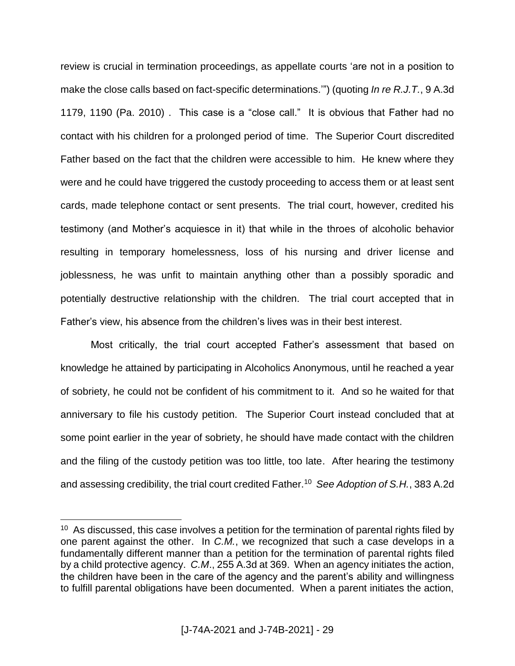review is crucial in termination proceedings, as appellate courts 'are not in a position to make the close calls based on fact-specific determinations.'") (quoting *In re R.J.T.*, 9 A.3d 1179, 1190 (Pa. 2010) . This case is a "close call." It is obvious that Father had no contact with his children for a prolonged period of time. The Superior Court discredited Father based on the fact that the children were accessible to him. He knew where they were and he could have triggered the custody proceeding to access them or at least sent cards, made telephone contact or sent presents. The trial court, however, credited his testimony (and Mother's acquiesce in it) that while in the throes of alcoholic behavior resulting in temporary homelessness, loss of his nursing and driver license and joblessness, he was unfit to maintain anything other than a possibly sporadic and potentially destructive relationship with the children. The trial court accepted that in Father's view, his absence from the children's lives was in their best interest.

Most critically, the trial court accepted Father's assessment that based on knowledge he attained by participating in Alcoholics Anonymous, until he reached a year of sobriety, he could not be confident of his commitment to it. And so he waited for that anniversary to file his custody petition. The Superior Court instead concluded that at some point earlier in the year of sobriety, he should have made contact with the children and the filing of the custody petition was too little, too late. After hearing the testimony and assessing credibility, the trial court credited Father.<sup>10</sup> *See Adoption of S.H.*, 383 A.2d

<sup>&</sup>lt;sup>10</sup> As discussed, this case involves a petition for the termination of parental rights filed by one parent against the other. In *C.M.*, we recognized that such a case develops in a fundamentally different manner than a petition for the termination of parental rights filed by a child protective agency. *C.M*., 255 A.3d at 369. When an agency initiates the action, the children have been in the care of the agency and the parent's ability and willingness to fulfill parental obligations have been documented. When a parent initiates the action,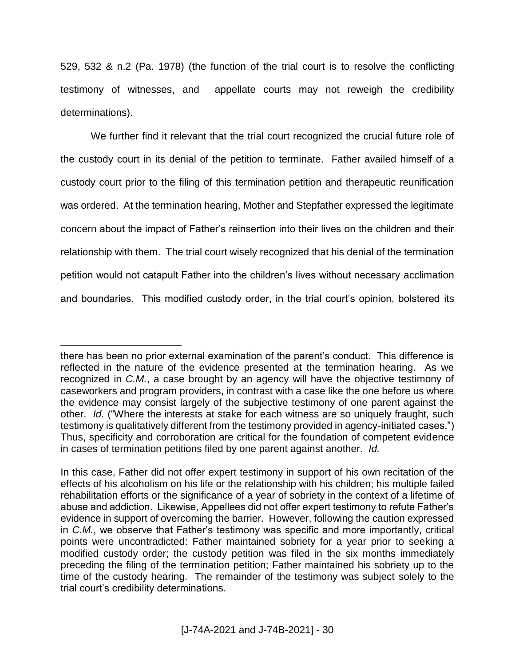529, 532 & n.2 (Pa. 1978) (the function of the trial court is to resolve the conflicting testimony of witnesses, and appellate courts may not reweigh the credibility determinations).

We further find it relevant that the trial court recognized the crucial future role of the custody court in its denial of the petition to terminate. Father availed himself of a custody court prior to the filing of this termination petition and therapeutic reunification was ordered. At the termination hearing, Mother and Stepfather expressed the legitimate concern about the impact of Father's reinsertion into their lives on the children and their relationship with them. The trial court wisely recognized that his denial of the termination petition would not catapult Father into the children's lives without necessary acclimation and boundaries. This modified custody order, in the trial court's opinion, bolstered its

there has been no prior external examination of the parent's conduct. This difference is reflected in the nature of the evidence presented at the termination hearing. As we recognized in *C.M.*, a case brought by an agency will have the objective testimony of caseworkers and program providers, in contrast with a case like the one before us where the evidence may consist largely of the subjective testimony of one parent against the other. *Id.* ("Where the interests at stake for each witness are so uniquely fraught, such testimony is qualitatively different from the testimony provided in agency-initiated cases.") Thus, specificity and corroboration are critical for the foundation of competent evidence in cases of termination petitions filed by one parent against another. *Id.*

In this case, Father did not offer expert testimony in support of his own recitation of the effects of his alcoholism on his life or the relationship with his children; his multiple failed rehabilitation efforts or the significance of a year of sobriety in the context of a lifetime of abuse and addiction. Likewise, Appellees did not offer expert testimony to refute Father's evidence in support of overcoming the barrier. However, following the caution expressed in *C.M.*, we observe that Father's testimony was specific and more importantly, critical points were uncontradicted: Father maintained sobriety for a year prior to seeking a modified custody order; the custody petition was filed in the six months immediately preceding the filing of the termination petition; Father maintained his sobriety up to the time of the custody hearing. The remainder of the testimony was subject solely to the trial court's credibility determinations.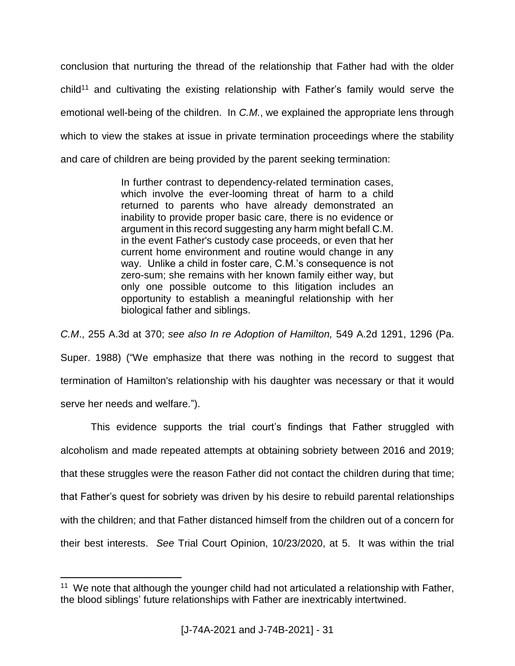conclusion that nurturing the thread of the relationship that Father had with the older  $child<sup>11</sup>$  and cultivating the existing relationship with Father's family would serve the emotional well-being of the children. In *C.M.*, we explained the appropriate lens through which to view the stakes at issue in private termination proceedings where the stability and care of children are being provided by the parent seeking termination:

> In further contrast to dependency-related termination cases, which involve the ever-looming threat of harm to a child returned to parents who have already demonstrated an inability to provide proper basic care, there is no evidence or argument in this record suggesting any harm might befall C.M. in the event Father's custody case proceeds, or even that her current home environment and routine would change in any way. Unlike a child in foster care, C.M.'s consequence is not zero-sum; she remains with her known family either way, but only one possible outcome to this litigation includes an opportunity to establish a meaningful relationship with her biological father and siblings.

*C.M*., 255 A.3d at 370; *see also In re Adoption of Hamilton,* 549 A.2d 1291, 1296 (Pa. Super. 1988) ("We emphasize that there was nothing in the record to suggest that termination of Hamilton's relationship with his daughter was necessary or that it would serve her needs and welfare.").

This evidence supports the trial court's findings that Father struggled with alcoholism and made repeated attempts at obtaining sobriety between 2016 and 2019; that these struggles were the reason Father did not contact the children during that time; that Father's quest for sobriety was driven by his desire to rebuild parental relationships with the children; and that Father distanced himself from the children out of a concern for their best interests. *See* Trial Court Opinion, 10/23/2020, at 5. It was within the trial

 $\overline{a}$ <sup>11</sup> We note that although the younger child had not articulated a relationship with Father, the blood siblings' future relationships with Father are inextricably intertwined.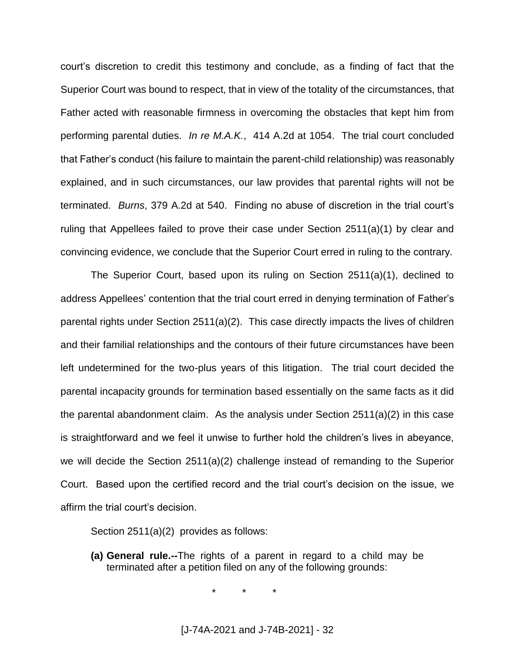court's discretion to credit this testimony and conclude, as a finding of fact that the Superior Court was bound to respect, that in view of the totality of the circumstances, that Father acted with reasonable firmness in overcoming the obstacles that kept him from performing parental duties. *In re M.A.K.*, 414 A.2d at 1054. The trial court concluded that Father's conduct (his failure to maintain the parent-child relationship) was reasonably explained, and in such circumstances, our law provides that parental rights will not be terminated. *Burns*, 379 A.2d at 540. Finding no abuse of discretion in the trial court's ruling that Appellees failed to prove their case under Section 2511(a)(1) by clear and convincing evidence, we conclude that the Superior Court erred in ruling to the contrary.

The Superior Court, based upon its ruling on Section 2511(a)(1), declined to address Appellees' contention that the trial court erred in denying termination of Father's parental rights under Section 2511(a)(2). This case directly impacts the lives of children and their familial relationships and the contours of their future circumstances have been left undetermined for the two-plus years of this litigation. The trial court decided the parental incapacity grounds for termination based essentially on the same facts as it did the parental abandonment claim. As the analysis under Section  $2511(a)(2)$  in this case is straightforward and we feel it unwise to further hold the children's lives in abeyance, we will decide the Section 2511(a)(2) challenge instead of remanding to the Superior Court. Based upon the certified record and the trial court's decision on the issue, we affirm the trial court's decision.

Section 2511(a)(2) provides as follows:

**(a) General rule.--**The rights of a parent in regard to a child may be terminated after a petition filed on any of the following grounds:

\* \* \*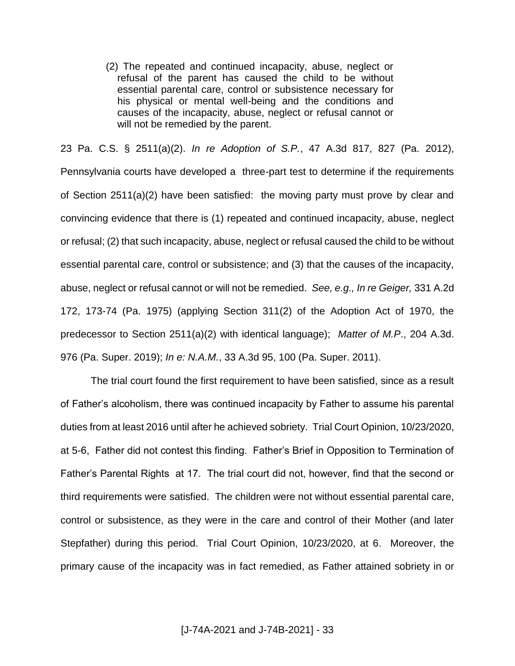(2) The repeated and continued incapacity, abuse, neglect or refusal of the parent has caused the child to be without essential parental care, control or subsistence necessary for his physical or mental well-being and the conditions and causes of the incapacity, abuse, neglect or refusal cannot or will not be remedied by the parent.

23 Pa. C.S. § 2511(a)(2). *In re Adoption of S.P.*, 47 A.3d 817, 827 (Pa. 2012), Pennsylvania courts have developed a three-part test to determine if the requirements of Section 2511(a)(2) have been satisfied: the moving party must prove by clear and convincing evidence that there is (1) repeated and continued incapacity, abuse, neglect or refusal; (2) that such incapacity, abuse, neglect or refusal caused the child to be without essential parental care, control or subsistence; and (3) that the causes of the incapacity, abuse, neglect or refusal cannot or will not be remedied. *See, e.g., In re Geiger,* 331 A.2d 172, 173-74 (Pa. 1975) (applying Section 311(2) of the Adoption Act of 1970, the predecessor to Section 2511(a)(2) with identical language); *Matter of M.P*., 204 A.3d. 976 (Pa. Super. 2019); *In e: N.A.M.*, 33 A.3d 95, 100 (Pa. Super. 2011).

The trial court found the first requirement to have been satisfied, since as a result of Father's alcoholism, there was continued incapacity by Father to assume his parental duties from at least 2016 until after he achieved sobriety. Trial Court Opinion, 10/23/2020, at 5-6, Father did not contest this finding. Father's Brief in Opposition to Termination of Father's Parental Rights at 17. The trial court did not, however, find that the second or third requirements were satisfied. The children were not without essential parental care, control or subsistence, as they were in the care and control of their Mother (and later Stepfather) during this period. Trial Court Opinion, 10/23/2020, at 6. Moreover, the primary cause of the incapacity was in fact remedied, as Father attained sobriety in or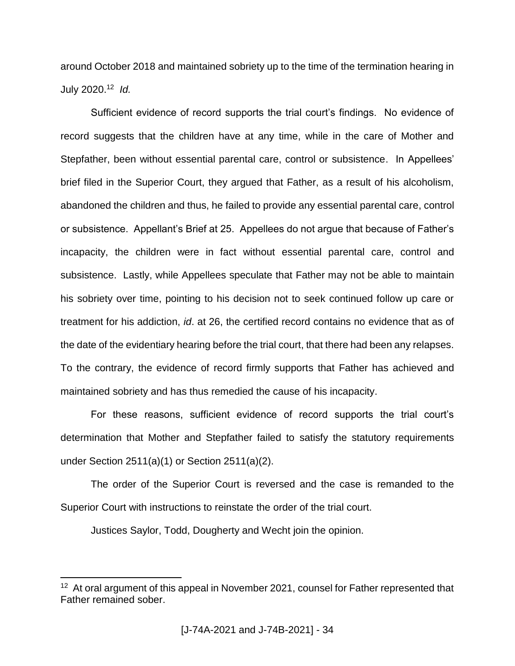around October 2018 and maintained sobriety up to the time of the termination hearing in July 2020. 12 *Id.*

Sufficient evidence of record supports the trial court's findings. No evidence of record suggests that the children have at any time, while in the care of Mother and Stepfather, been without essential parental care, control or subsistence. In Appellees' brief filed in the Superior Court, they argued that Father, as a result of his alcoholism, abandoned the children and thus, he failed to provide any essential parental care, control or subsistence. Appellant's Brief at 25. Appellees do not argue that because of Father's incapacity, the children were in fact without essential parental care, control and subsistence. Lastly, while Appellees speculate that Father may not be able to maintain his sobriety over time, pointing to his decision not to seek continued follow up care or treatment for his addiction, *id*. at 26, the certified record contains no evidence that as of the date of the evidentiary hearing before the trial court, that there had been any relapses. To the contrary, the evidence of record firmly supports that Father has achieved and maintained sobriety and has thus remedied the cause of his incapacity.

For these reasons, sufficient evidence of record supports the trial court's determination that Mother and Stepfather failed to satisfy the statutory requirements under Section 2511(a)(1) or Section 2511(a)(2).

The order of the Superior Court is reversed and the case is remanded to the Superior Court with instructions to reinstate the order of the trial court.

Justices Saylor, Todd, Dougherty and Wecht join the opinion.

<sup>&</sup>lt;sup>12</sup> At oral argument of this appeal in November 2021, counsel for Father represented that Father remained sober.